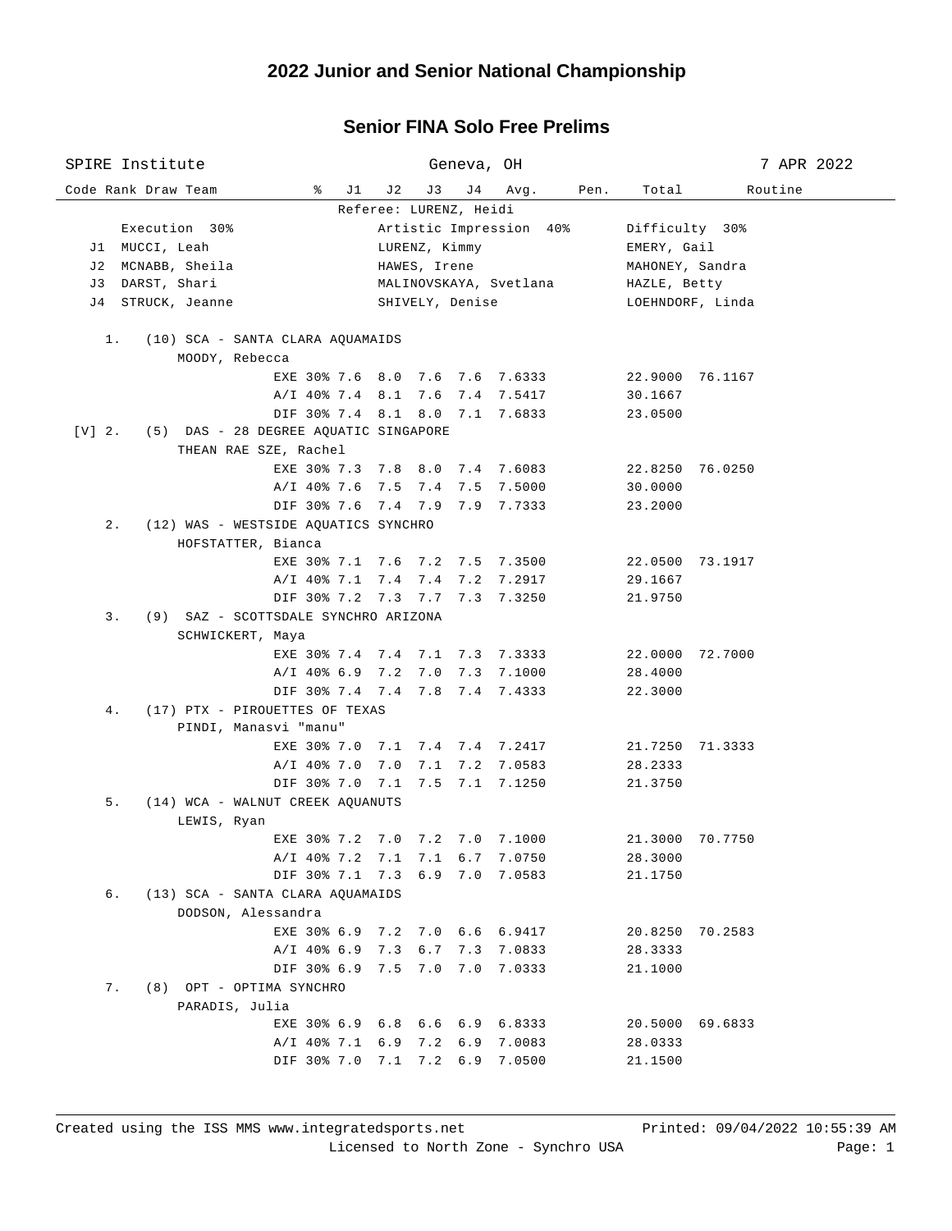## **Senior FINA Solo Free Prelims**

| SPIRE Institute                                   |               | Geneva, OH                                                       |                    | 7 APR 2022       |  |  |  |  |
|---------------------------------------------------|---------------|------------------------------------------------------------------|--------------------|------------------|--|--|--|--|
| Code Rank Draw Team<br>$\frac{1}{6}$ J1           | J 2<br>J3     | J 4<br>Avg.                                                      | Total<br>Pen.      | Routine          |  |  |  |  |
| Referee: LURENZ, Heidi                            |               |                                                                  |                    |                  |  |  |  |  |
| Execution 30%                                     |               | Artistic Impression 40%                                          | Difficulty 30%     |                  |  |  |  |  |
| J1 MUCCI, Leah                                    | LURENZ, Kimmy |                                                                  |                    | EMERY, Gail      |  |  |  |  |
| J2 MCNABB, Sheila                                 | HAWES, Irene  |                                                                  |                    | MAHONEY, Sandra  |  |  |  |  |
| J3 DARST, Shari                                   |               | MALINOVSKAYA, Svetlana                                           |                    | HAZLE, Betty     |  |  |  |  |
| STRUCK, Jeanne<br>J 4                             |               | SHIVELY, Denise                                                  |                    | LOEHNDORF, Linda |  |  |  |  |
|                                                   |               |                                                                  |                    |                  |  |  |  |  |
| (10) SCA - SANTA CLARA AQUAMAIDS<br>1.            |               |                                                                  |                    |                  |  |  |  |  |
| MOODY, Rebecca                                    |               |                                                                  |                    |                  |  |  |  |  |
|                                                   |               | EXE 30% 7.6 8.0 7.6 7.6 7.6333                                   | 22.9000 76.1167    |                  |  |  |  |  |
| $A/I$ 40% 7.4 8.1                                 |               | 7.6 7.4 7.5417                                                   | 30.1667            |                  |  |  |  |  |
|                                                   |               | DIF 30% 7.4 8.1 8.0 7.1 7.6833                                   | 23.0500            |                  |  |  |  |  |
| $[V]$ 2.<br>(5) DAS - 28 DEGREE AQUATIC SINGAPORE |               |                                                                  |                    |                  |  |  |  |  |
| THEAN RAE SZE, Rachel                             |               |                                                                  |                    |                  |  |  |  |  |
|                                                   |               | EXE 30% 7.3 7.8 8.0 7.4 7.6083                                   | 22.8250 76.0250    |                  |  |  |  |  |
|                                                   |               | A/I 40% 7.6 7.5 7.4 7.5 7.5000                                   | 30.0000            |                  |  |  |  |  |
|                                                   |               | DIF 30% 7.6 7.4 7.9 7.9 7.7333                                   | 23.2000            |                  |  |  |  |  |
| $2$ .<br>(12) WAS - WESTSIDE AQUATICS SYNCHRO     |               |                                                                  |                    |                  |  |  |  |  |
| HOFSTATTER, Bianca                                |               |                                                                  |                    |                  |  |  |  |  |
|                                                   |               | EXE 30% 7.1 7.6 7.2 7.5 7.3500                                   | 22.0500 73.1917    |                  |  |  |  |  |
|                                                   |               | A/I 40% 7.1 7.4 7.4 7.2 7.2917                                   | 29.1667            |                  |  |  |  |  |
|                                                   |               | DIF 30% 7.2 7.3 7.7 7.3 7.3250                                   | 21.9750            |                  |  |  |  |  |
| 3.<br>(9) SAZ - SCOTTSDALE SYNCHRO ARIZONA        |               |                                                                  |                    |                  |  |  |  |  |
| SCHWICKERT, Maya                                  |               |                                                                  |                    |                  |  |  |  |  |
|                                                   |               | EXE 30% 7.4 7.4 7.1 7.3 7.3333                                   | 22.0000 72.7000    |                  |  |  |  |  |
|                                                   |               | A/I 40% 6.9 7.2 7.0 7.3 7.1000                                   | 28.4000            |                  |  |  |  |  |
|                                                   |               | DIF 30% 7.4 7.4 7.8 7.4 7.4333                                   | 22.3000            |                  |  |  |  |  |
| (17) PTX - PIROUETTES OF TEXAS<br>4.              |               |                                                                  |                    |                  |  |  |  |  |
| PINDI, Manasvi "manu"                             |               |                                                                  |                    |                  |  |  |  |  |
|                                                   |               | EXE 30% 7.0 7.1 7.4 7.4 7.2417                                   | 21.7250 71.3333    |                  |  |  |  |  |
| $A/I$ 40% 7.0                                     | 7.0           | 7.1 7.2 7.0583                                                   | 28.2333            |                  |  |  |  |  |
| DIF 30% 7.0                                       | 7.1<br>7.5    | 7.1 7.1250                                                       | 21.3750            |                  |  |  |  |  |
| 5.<br>(14) WCA - WALNUT CREEK AQUANUTS            |               |                                                                  |                    |                  |  |  |  |  |
| LEWIS, Ryan                                       |               |                                                                  | 21.3000 70.7750    |                  |  |  |  |  |
|                                                   |               | EXE 30% 7.2 7.0 7.2 7.0 7.1000                                   |                    |                  |  |  |  |  |
|                                                   |               | A/I 40% 7.2 7.1 7.1 6.7 7.0750<br>DIF 30% 7.1 7.3 6.9 7.0 7.0583 | 28.3000<br>21.1750 |                  |  |  |  |  |
| б.<br>(13) SCA - SANTA CLARA AQUAMAIDS            |               |                                                                  |                    |                  |  |  |  |  |
| DODSON, Alessandra                                |               |                                                                  |                    |                  |  |  |  |  |
|                                                   |               | EXE 30% 6.9 7.2 7.0 6.6 6.9417                                   | 20.8250 70.2583    |                  |  |  |  |  |
|                                                   |               | A/I 40% 6.9 7.3 6.7 7.3 7.0833                                   | 28.3333            |                  |  |  |  |  |
|                                                   |               | DIF 30% 6.9 7.5 7.0 7.0 7.0333                                   | 21.1000            |                  |  |  |  |  |
| (8) OPT - OPTIMA SYNCHRO<br>7.                    |               |                                                                  |                    |                  |  |  |  |  |
| PARADIS, Julia                                    |               |                                                                  |                    |                  |  |  |  |  |
|                                                   |               | EXE 30% 6.9 6.8 6.6 6.9 6.8333                                   | 20.5000 69.6833    |                  |  |  |  |  |
|                                                   |               | A/I 40% 7.1 6.9 7.2 6.9 7.0083                                   | 28.0333            |                  |  |  |  |  |
|                                                   |               | DIF 30% 7.0 7.1 7.2 6.9 7.0500                                   | 21.1500            |                  |  |  |  |  |
|                                                   |               |                                                                  |                    |                  |  |  |  |  |